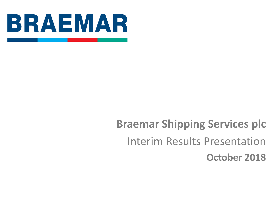

# **Braemar Shipping Services plc** Interim Results Presentation **October 2018**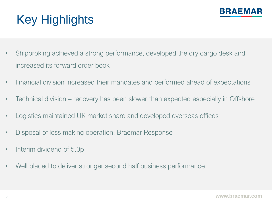

# Key Highlights

- Shipbroking achieved a strong performance, developed the dry cargo desk and increased its forward order book
- Financial division increased their mandates and performed ahead of expectations
- Technical division recovery has been slower than expected especially in Offshore
- Logistics maintained UK market share and developed overseas offices
- Disposal of loss making operation, Braemar Response
- Interim dividend of 5.0p
- Well placed to deliver stronger second half business performance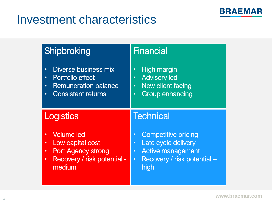### Investment characteristics



BRAEMAR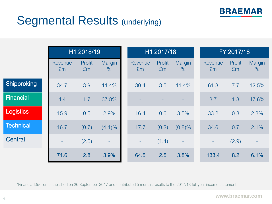

### Segmental Results (underlying)

|                  | H1 2018/19               |              | H1 2017/18               |                          |              | FY 2017/18     |                      |              |                         |
|------------------|--------------------------|--------------|--------------------------|--------------------------|--------------|----------------|----------------------|--------------|-------------------------|
|                  | Revenue<br>£m            | Profit<br>Em | Margin<br>$\frac{0}{0}$  | Revenue<br>Em            | Profit<br>£m | Margin<br>$\%$ | <b>Revenue</b><br>Em | Profit<br>Em | Margin<br>$\frac{0}{0}$ |
| Shipbroking      | 34.7                     | 3.9          | 11.4%                    | 30.4                     | 3.5          | 11.4%          | 61.8                 | 7.7          | 12.5%                   |
| Financial        | 4.4                      | 1.7          | 37.8%                    |                          |              |                | 3.7                  | 1.8          | 47.6%                   |
| <b>Logistics</b> | 15.9                     | 0.5          | 2.9%                     | 16.4                     | 0.6          | 3.5%           | 33.2                 | 0.8          | 2.3%                    |
| <b>Technical</b> | 16.7                     | (0.7)        | $(4.1)\%$                | 17.7                     | (0.2)        | $(0.8)\%$      | 34.6                 | 0.7          | 2.1%                    |
| <b>Central</b>   | $\overline{\phantom{a}}$ | (2.6)        | $\overline{\phantom{a}}$ | $\overline{\phantom{a}}$ | (1.4)        | $\equiv$       | ÷                    | (2.9)        | $\equiv$                |
|                  | 71.6                     | 2.8          | 3.9%                     | 64.5                     | 2.5          | 3.8%           | 133.4                | 8.2          | 6.1%                    |

\*Financial Division established on 26 September 2017 and contributed 5 months results to the 2017/18 full year income statement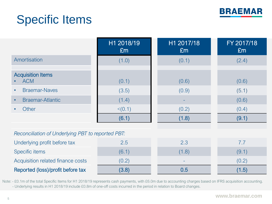

# Specific Items

|                                                   | H1 2018/19<br>Em | H1 2017/18<br>Em | FY 2017/18<br>Em |
|---------------------------------------------------|------------------|------------------|------------------|
| Amortisation                                      | (1.0)            | (0.1)            | (2.4)            |
|                                                   |                  |                  |                  |
| <b>Acquisition Items</b><br><b>ACM</b>            | (0.1)            | (0.6)            | (0.6)            |
| <b>Braemar-Naves</b><br>$\bullet$                 | (3.5)            | (0.9)            | (5.1)            |
| <b>Braemar-Atlantic</b><br>$\bullet$              | (1.4)            |                  | (0.6)            |
| Other<br>$\bullet$                                | < (0.1)          | (0.2)            | (0.4)            |
|                                                   | (6.1)            | (1.8)            | (9.1)            |
|                                                   |                  |                  |                  |
| Reconciliation of Underlying PBT to reported PBT: |                  |                  |                  |
| Underlying profit before tax                      | 2.5              | 2.3              | 7.7              |
| Specific items                                    | (6.1)            | (1.8)            | (9.1)            |
| Acquisition related finance costs                 | (0.2)            |                  | (0.2)            |
| Reported (loss)/profit before tax                 | (3.8)            | 0.5              | (1.5)            |

Note: - £0.1m of the total Specific Items for H1 2018/19 represents cash payments, with £6.0m due to accounting charges based on IFRS acquisition accounting. - Underlying results in H1 2018/19 include £0.8m of one-off costs incurred in the period in relation to Board changes.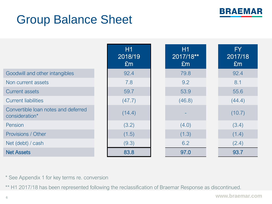

### Group Balance Sheet

|                                                       | H1<br>2018/19<br>Em | H <sub>1</sub><br>$\overline{ 2017/18^{**} }$<br>Em | <b>FY</b><br>2017/18<br>Em |
|-------------------------------------------------------|---------------------|-----------------------------------------------------|----------------------------|
| Goodwill and other intangibles                        | 92.4                | 79.8                                                | 92.4                       |
| Non current assets                                    | 7.8                 | 9.2                                                 | 8.1                        |
| <b>Current assets</b>                                 | 59.7                | 53.9                                                | 55.6                       |
| <b>Current liabilities</b>                            | (47.7)              | (46.8)                                              | (44.4)                     |
| Convertible loan notes and deferred<br>consideration* | (14.4)              |                                                     | (10.7)                     |
| Pension                                               | (3.2)               | (4.0)                                               | (3.4)                      |
| Provisions / Other                                    | (1.5)               | (1.3)                                               | (1.4)                      |
| Net (debt) / cash                                     | (9.3)               | 6.2                                                 | (2.4)                      |
| <b>Net Assets</b>                                     | 83.8                | 97.0                                                | 93.7                       |

\* See Appendix 1 for key terms re. conversion

\*\* H1 2017/18 has been represented following the reclassification of Braemar Response as discontinued.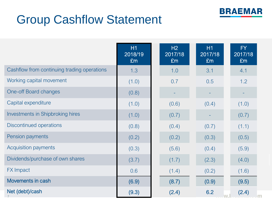

## Group Cashflow Statement

|                                             | H1<br>2018/19<br>Em | H2<br>2017/18<br>Em | H1<br>2017/18<br>Em |    | <b>FY</b><br>2017/18<br>Em |
|---------------------------------------------|---------------------|---------------------|---------------------|----|----------------------------|
| Cashflow from continuing trading operations | 1.3                 | 1.0                 | 3.1                 |    | 4.1                        |
| Working capital movement                    | (1.0)               | 0.7                 | 0.5                 |    | 1.2                        |
| One-off Board changes                       | (0.8)               |                     |                     |    |                            |
| Capital expenditure                         | (1.0)               | (0.6)               | (0.4)               |    | (1.0)                      |
| <b>Investments in Shipbroking hires</b>     | (1.0)               | (0.7)               |                     |    | (0.7)                      |
| Discontinued operations                     | (0.8)               | (0.4)               | (0.7)               |    | (1.1)                      |
| Pension payments                            | (0.2)               | (0.2)               | (0.3)               |    | (0.5)                      |
| <b>Acquisition payments</b>                 | (0.3)               | (5.6)               | (0.4)               |    | (5.9)                      |
| Dividends/purchase of own shares            | (3.7)               | (1.7)               | (2.3)               |    | (4.0)                      |
| <b>FX Impact</b>                            | 0.6                 | (1.4)               | (0.2)               |    | (1.6)                      |
| Movements in cash                           | (6.9)               | (8.7)               | (0.9)               |    | (9.5)                      |
| Net (debt)/cash                             | (9.3)               | (2.4)               | 6.2                 | W. | (2.4)<br>m                 |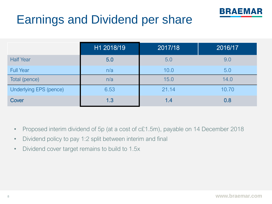

# Earnings and Dividend per share

|                               | H1 2018/19 | 2017/18 | 2016/17 |
|-------------------------------|------------|---------|---------|
| <b>Half Year</b>              | 5.0        | 5.0     | 9.0     |
| <b>Full Year</b>              | n/a        | 10.0    | 5.0     |
| Total (pence)                 | n/a        | 15.0    | 14.0    |
| <b>Underlying EPS (pence)</b> | 6.53       | 21.14   | 10.70   |
| Cover                         | 1.3        | 1.4     | 0.8     |

- Proposed interim dividend of 5p (at a cost of c£1.5m), payable on 14 December 2018
- Dividend policy to pay 1:2 split between interim and final
- Dividend cover target remains to build to 1.5x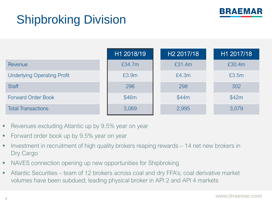# Shipbroking Division



|                                    | H1 2018/19 | H <sub>2</sub> 2017/18 | H1 2017/18 |
|------------------------------------|------------|------------------------|------------|
| <b>Revenue</b>                     | £34.7m     | £31.4m                 | £30.4m     |
| <b>Underlying Operating Profit</b> | £3.9m      | £4.3m                  | £3.5m      |
| <b>Staff</b>                       | 296        | 298                    | 302        |
| <b>Forward Order Book</b>          | \$46m      | \$44m                  | \$42m      |
| <b>Total Transactions</b>          | 3,069      | 2,995                  | 3,079      |

- Revenues excluding Atlantic up by 9.5% year on year
- Forward order book up by 9.5% year on year
- **•** Investment in recruitment of high quality brokers reaping rewards 14 net new brokers in Dry Cargo
- NAVES connection opening up new opportunities for Shipbroking
- Atlantic Securities team of 12 brokers across coal and dry FFA's; coal derivative market volumes have been subdued; leading physical broker in API 2 and API 4 markets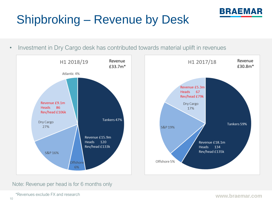

# Shipbroking – Revenue by Desk

• Investment in Dry Cargo desk has contributed towards material uplift in revenues



Note: Revenue per head is for 6 months only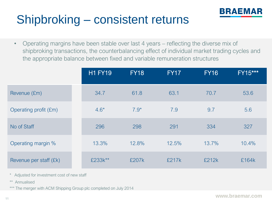

# Shipbroking – consistent returns

• Operating margins have been stable over last 4 years – reflecting the diverse mix of shipbroking transactions, the counterbalancing effect of individual market trading cycles and the appropriate balance between fixed and variable remuneration structures

|                        | <b>H1 FY19</b> | <b>FY18</b> | <b>FY17</b> | <b>FY16</b> | FY15*** |
|------------------------|----------------|-------------|-------------|-------------|---------|
| Revenue (£m)           | 34.7           | 61.8        | 63.1        | 70.7        | 53.6    |
| Operating profit (£m)  | $4.6*$         | $7.9*$      | 7.9         | 9.7         | 5.6     |
| No of Staff            | 296            | 298         | 291         | 334         | 327     |
| Operating margin %     | 13.3%          | 12.8%       | 12.5%       | 13.7%       | 10.4%   |
| Revenue per staff (£k) | £233k**        | £207k       | £217k       | £212k       | £164k   |

- Adjusted for investment cost of new staff
- \*\* Annualised
- \*\*\* The merger with ACM Shipping Group plc completed on July 2014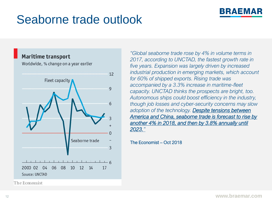### Seaborne trade outlook

#### **Maritime transport**

Worldwide, % change on a year earlier



*"Global seaborne trade rose by 4% in volume terms in 2017, according to UNCTAD, the fastest growth rate in five years. Expansion was largely driven by increased industrial production in emerging markets, which account for 60% of shipped exports. Rising trade was accompanied by a 3.3% increase in maritime-fleet capacity. UNCTAD thinks the prospects are bright, too. Autonomous ships could boost efficiency in the industry, though job losses and cyber-security concerns may slow adoption of the technology. Despite tensions between America and China, seaborne trade is forecast to rise by another 4% in 2018, and then by 3.8% annually until 2023."*

The Economist – Oct 2018

BRAEMAR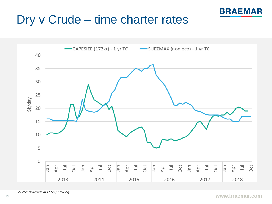## Dry v Crude – time charter rates



BRAEMAR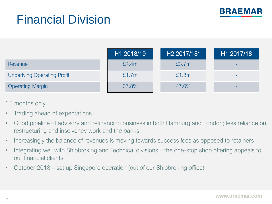# Financial Division



|                                    | H1 2018/19 | H <sub>2</sub> 2017/18* | H1 2017/18               |
|------------------------------------|------------|-------------------------|--------------------------|
| Revenue                            | £4.4m      | £3.7m                   | $-$                      |
| <b>Underlying Operating Profit</b> | £1.7m      | £1.8m                   | $\overline{\phantom{0}}$ |
| <b>Operating Margin</b>            | 37.8%      | 47.6%                   | -                        |

- \* 5 months only
- Trading ahead of expectations
- Good pipeline of advisory and refinancing business in both Hamburg and London; less reliance on restructuring and insolvency work and the banks
- Increasingly the balance of revenues is moving towards success fees as opposed to retainers
- Integrating well with Shipbroking and Technical divisions the one-stop shop offering appeals to our financial clients
- October 2018 set up Singapore operation (out of our Shipbroking office)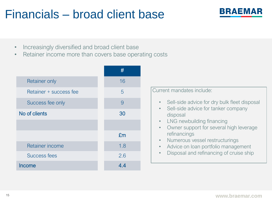### Financials – broad client base



- Increasingly diversified and broad client base
- Retainer income more than covers base operating costs

|                        | #   |                                                                                                |
|------------------------|-----|------------------------------------------------------------------------------------------------|
| <b>Retainer only</b>   | 16  |                                                                                                |
| Retainer + success fee | 5   | Current mandates include:                                                                      |
| Success fee only       | 9   | Sell-side advice for dry bulk fleet disposal<br>$\bullet$                                      |
| No of clients          | 30  | Sell-side advice for tanker company<br>$\bullet$<br>disposal                                   |
|                        |     | LNG newbuilding financing<br>$\bullet$<br>Owner support for several high leverage<br>$\bullet$ |
|                        | Em  | refinancings<br>Numerous vessel restructurings                                                 |
| Retainer income        | 1.8 | Advice on loan portfolio management                                                            |
| <b>Success fees</b>    | 2.6 | Disposal and refinancing of cruise ship                                                        |
| Income                 | 4.4 |                                                                                                |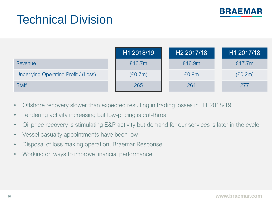

# Technical Division

|                                      | H1 2018/19 | H <sub>2</sub> 2017/18 | H1 2017/18 |
|--------------------------------------|------------|------------------------|------------|
| Revenue                              | £16.7m     | £16.9m                 | £17.7m     |
| Underlying Operating Profit / (Loss) | (E0.7m)    | £0.9m                  | (E0.2m)    |
| <b>Staff</b>                         | 265        | 261                    | 277        |

- Offshore recovery slower than expected resulting in trading losses in H1 2018/19
- Tendering activity increasing but low-pricing is cut-throat
- Oil price recovery is stimulating E&P activity but demand for our services is later in the cycle
- Vessel casualty appointments have been low
- Disposal of loss making operation, Braemar Response
- Working on ways to improve financial performance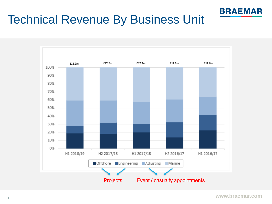

### Technical Revenue By Business Unit



**www.braemar.com**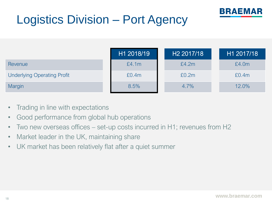



- Trading in line with expectations
- Good performance from global hub operations
- Two new overseas offices set-up costs incurred in H1; revenues from H2
- Market leader in the UK, maintaining share
- UK market has been relatively flat after a quiet summer

BRAEMAR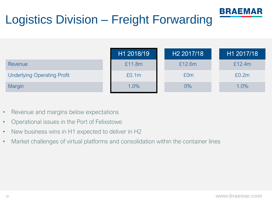

# Logistics Division – Freight Forwarding

|                                    | H1 2018/19 | H <sub>2</sub> 2017/18 | H1 2017/18 |
|------------------------------------|------------|------------------------|------------|
| <b>Revenue</b>                     | £11.8m     | £12.6m                 | £12.4m     |
| <b>Underlying Operating Profit</b> | £0.1m      | £0 <sub>m</sub>        | £0.2m      |
| Margin                             | 1.0%       | $0\%$                  | 1.0%       |

- Revenue and margins below expectations
- Operational issues in the Port of Felixstowe
- New business wins in H1 expected to deliver in H2
- Market challenges of virtual platforms and consolidation within the container lines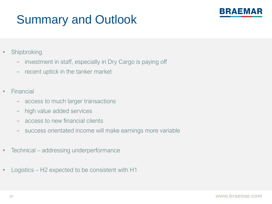# Summary and Outlook



- **Shipbroking** 
	- investment in staff, especially in Dry Cargo is paying off
	- recent uptick in the tanker market
- **Financial** 
	- access to much larger transactions
	- high value added services
	- access to new financial clients
	- success orientated income will make earnings more variable
- Technical addressing underperformance
- Logistics H2 expected to be consistent with H1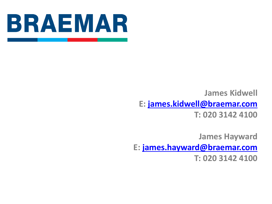

**James Kidwell E: [james.kidwell@braemar.com](mailto:james.kidwell@braemar.com) T: 020 3142 4100**

**James Hayward E: [james.hayward@braemar.com](mailto:louise.evans@braemar.com) T: 020 3142 4100**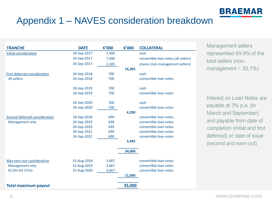

### Appendix 1 – NAVES consideration breakdown

| <b>TRANCHE</b>                                   | <b>DATE</b>                                                                                           | €'000                                         | €'000          | <b>COLLATERAL</b>                                                                                                                                                | Management sellers                                                                                                                                                                               |
|--------------------------------------------------|-------------------------------------------------------------------------------------------------------|-----------------------------------------------|----------------|------------------------------------------------------------------------------------------------------------------------------------------------------------------|--------------------------------------------------------------------------------------------------------------------------------------------------------------------------------------------------|
| Initial consideration                            | 26-Sep-2017                                                                                           | 7,400                                         |                | cash                                                                                                                                                             | represented 69.9% of the                                                                                                                                                                         |
|                                                  | 26-Sep-2017                                                                                           | 7,400                                         |                | convertible loan notes (all sellers)                                                                                                                             | total sellers (non-                                                                                                                                                                              |
|                                                  | 26-Sep-2017                                                                                           | 1,505                                         |                | shares (non-management sellers)                                                                                                                                  |                                                                                                                                                                                                  |
|                                                  |                                                                                                       |                                               | 16,305         |                                                                                                                                                                  | management = $30.1\%$ )                                                                                                                                                                          |
| First deferred consideration                     | 26-Sep-2018                                                                                           | 700                                           |                | cash                                                                                                                                                             |                                                                                                                                                                                                  |
| <b>All sellers</b>                               | 26-Sep-2018                                                                                           | 700                                           |                | convertible loan notes                                                                                                                                           |                                                                                                                                                                                                  |
|                                                  | 26-Sep-2019                                                                                           | 700                                           |                | cash                                                                                                                                                             |                                                                                                                                                                                                  |
|                                                  | 26-Sep-2019                                                                                           | 700                                           |                | convertible loan notes                                                                                                                                           |                                                                                                                                                                                                  |
| Second deferred consideration<br>Management only | 26-Sep-2020<br>26-Sep-2020<br>26-Sep-2018<br>26-Sep-2019<br>26-Sep-2020<br>26-Sep-2021<br>26-Sep-2022 | 700<br>700<br>699<br>699<br>699<br>699<br>699 | 4,200<br>3,495 | cash<br>convertible loan notes<br>convertible loan notes<br>convertible loan notes<br>convertible loan notes<br>convertible loan notes<br>convertible loan notes | Interest on Loan Notes are<br>payable at 3% p.a. (in<br>March and September)<br>and payable from date of<br>completion (initial and first<br>deferred) or date of issue<br>(second and earn-out) |
|                                                  |                                                                                                       |                                               | 24,000         |                                                                                                                                                                  |                                                                                                                                                                                                  |
| Max earn-out consideration                       | 31-Aug-2018                                                                                           | 3,667                                         |                | convertible loan notes                                                                                                                                           |                                                                                                                                                                                                  |
| Management only                                  | 31-Aug-2019                                                                                           | 3,667                                         |                | convertible loan notes                                                                                                                                           |                                                                                                                                                                                                  |
| €2.0m-€4.375m                                    | 31-Aug-2020                                                                                           | 3,667                                         |                | convertible loan notes                                                                                                                                           |                                                                                                                                                                                                  |
|                                                  |                                                                                                       |                                               | 11,000         |                                                                                                                                                                  |                                                                                                                                                                                                  |
| <b>Total maximum payout</b>                      |                                                                                                       |                                               | 35,000         |                                                                                                                                                                  |                                                                                                                                                                                                  |